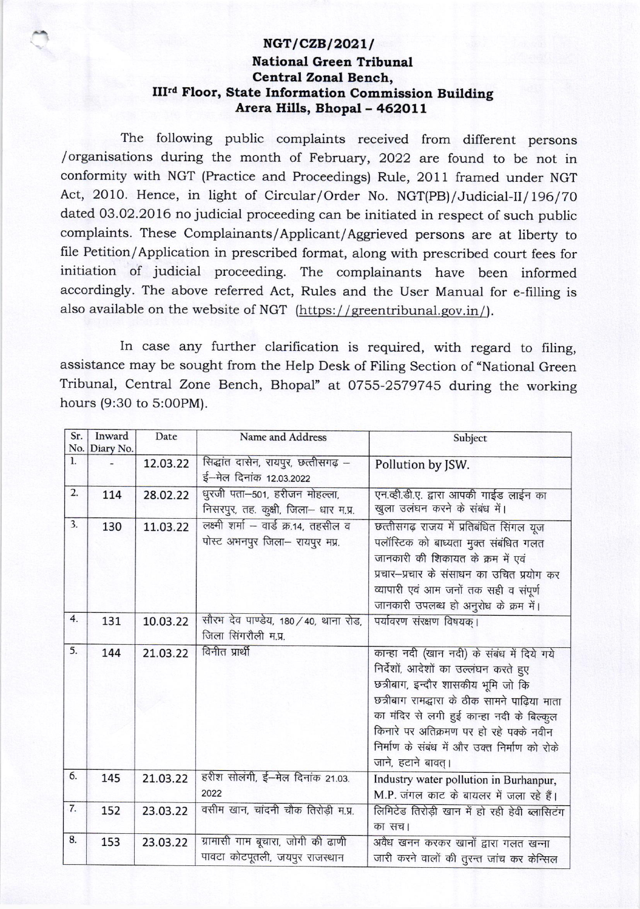## $NGT/CZB/2021/$ National Green Tribunal Central Zonal Bench, III<sup>rd</sup> Floor, State Information Commission Building Arera Hills, Bhopal - 462011

The following public complaints received from different persons /organisations during the month of February, 2022 are found to be not in conformity with NGT (Practice and Proceedings) Rule, 2011 framed under NGT Act, 2010. Hence, in light of Circular/Order No. NGT(PB)/Judicial-II/196/70 dated 03.02.2016 no judicial proceeding can be initiated in respect of such public complaints. These Complainants/Applicant/Aggrieved persons are at liberty to file Petition/Application in prescribed format, along with prescribed court fees for initiation of judicial proceeding. The complainants have been informed accordingly. The above referred Act, Rules and the User Manual for e-filling is also available on the website of NGT (https://greentribunal.gov.in/).

In case any further clarification is required, with regard to filing, assistance may be sought from the Help Desk of Filing Section of "National Green Tribunal, Central Zone Bench, Bhopal" at 0755-2579745 during the working hours (9:30 to 5:00PM).

| Sr.                   | Inward    | Date     | Name and Address                      | Subject                                       |
|-----------------------|-----------|----------|---------------------------------------|-----------------------------------------------|
| No.<br>$\mathbf{l}$ . | Diary No. |          |                                       |                                               |
|                       |           | 12.03.22 | सिद्धांत दासेन, रायपुर, छत्तीसगढ़ –   | Pollution by JSW.                             |
|                       |           |          | ई-मेल दिनांक 12.03.2022               |                                               |
| $\overline{2}$ .      | 114       | 28.02.22 | धुरजी पता-501, हरीजन मोहल्ला,         | एन.व्ही.डी.ए. द्वारा आपकी गाईड लाईन का        |
|                       |           |          | निसरपुर, तह. कुक्षी, जिला- धार म.प्र. | खुला उलंघन करने के संबंध में।                 |
| 3.                    | 130       | 11.03.22 | लक्ष्मी शर्मा - वार्ड क्र.14, तहसील व | छत्तीसगढ़ राजय में प्रतिबंधित सिंगल यूज       |
|                       |           |          | पोस्ट अभनपुर जिला- रायपुर मप्र.       | पलॉस्टिक को बाध्यता मुक्त संबंधित गलत         |
|                       |           |          |                                       | जानकारी की शिकायत के क्रम में एवं             |
|                       |           |          |                                       | प्रचार-प्रचार के संसाधन का उचित प्रयोग कर     |
|                       |           |          |                                       | व्यापारी एवं आम जनों तक सही व संपूर्ण         |
|                       |           |          |                                       | जानकारी उपलब्ध हो अनुरोध के क्रम में।         |
| 4.                    | 131       | 10.03.22 | सौरभ देव पाण्डेय, 180 / 40, थाना रोड, | पर्यावरण संरक्षण विषयक् ।                     |
|                       |           |          | जिला सिंगरौली म.प्र.                  |                                               |
| 5.                    | 144       | 21.03.22 | विनीत प्रार्थी                        | कान्हा नदी (खान नदी) के संबंध में दिये गये    |
|                       |           |          |                                       | निर्देशों, आदेशों का उल्लंघन करते हुए         |
|                       |           |          |                                       | छत्रीबाग, इन्दौर शासकीय भूमि जो कि            |
|                       |           |          |                                       | छत्रीबाग रामद्धारा के ठीक सामने पाढ़िया माता  |
|                       |           |          |                                       | का मंदिर से लगी हुई कान्हा नदी के बिल्कुल     |
|                       |           |          |                                       | किनारे पर अतिक्रमण पर हो रहे पक्के नवीन       |
|                       |           |          |                                       | निर्माण के संबंध में और उक्त निर्माण को रोके  |
|                       |           |          |                                       | जाने, हटाने बावत् ।                           |
| 6.                    | 145       | 21.03.22 | हरीश सोलंगी, ई-मेल दिनांक 21.03.      | Industry water pollution in Burhanpur,        |
|                       |           |          | 2022                                  | M.P. जंगल काट के बायलर में जला रहे हैं।       |
| 7.                    | 152       | 23.03.22 | वसीम खान, चांदनी चौक तिरोड़ी म.प्र.   | लिमिटेड तिरोड़ी खान में हो रही हेवी ब्लासिटंग |
|                       |           |          |                                       | का सच।                                        |
| 8.                    | 153       | 23.03.22 | ग्रामासी गाम बूचारा, जोगी की ढाणी     | अवैध खनन करकर खानों द्वारा गलत खन्ना          |
|                       |           |          | पावटा कोटपूतली, जयपुर राजस्थान        |                                               |
|                       |           |          |                                       | जारी करने वालों की तुरन्त जांच कर केन्सिल     |